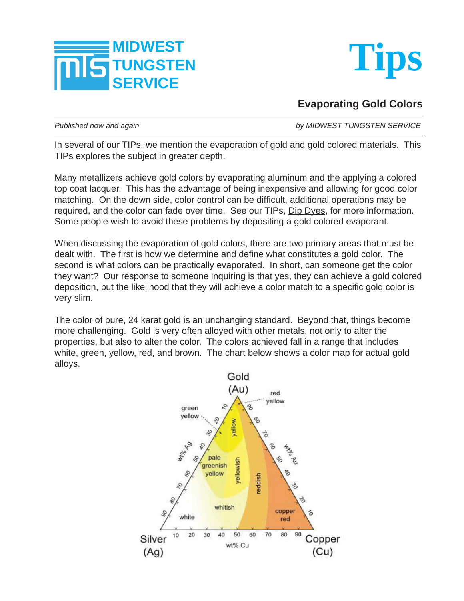



**Evaporating Gold Colors**

*Published now and again by MIDWEST TUNGSTEN SERVICE*

In several of our TIPs, we mention the evaporation of gold and gold colored materials. This TIPs explores the subject in greater depth.

Many metallizers achieve gold colors by evaporating aluminum and the applying a colored top coat lacquer. This has the advantage of being inexpensive and allowing for good color matching. On the down side, color control can be difficult, additional operations may be required, and the color can fade over time. See our TIPs, Dip Dyes, for more information. Some people wish to avoid these problems by depositing a gold colored evaporant.

When discussing the evaporation of gold colors, there are two primary areas that must be dealt with. The first is how we determine and define what constitutes a gold color. The second is what colors can be practically evaporated. In short, can someone get the color they want? Our response to someone inquiring is that yes, they can achieve a gold colored deposition, but the likelihood that they will achieve a color match to a specific gold color is very slim.

The color of pure, 24 karat gold is an unchanging standard. Beyond that, things become more challenging. Gold is very often alloyed with other metals, not only to alter the properties, but also to alter the color. The colors achieved fall in a range that includes white, green, yellow, red, and brown. The chart below shows a color map for actual gold alloys.